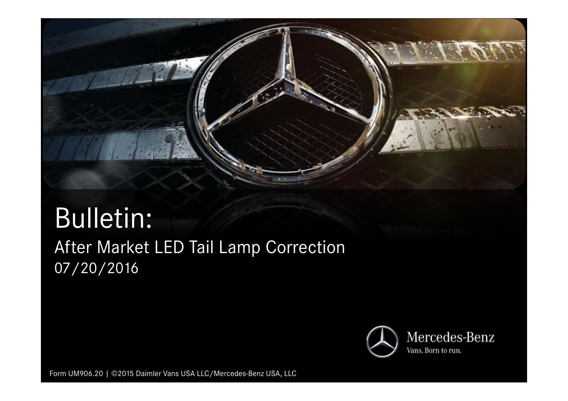

## Bulletin:After Market LED Tail Lamp Correction 07/20/2016



Form UM906.20 | ©2015 Daimler Vans USA LLC/Mercedes-Benz USA, LLC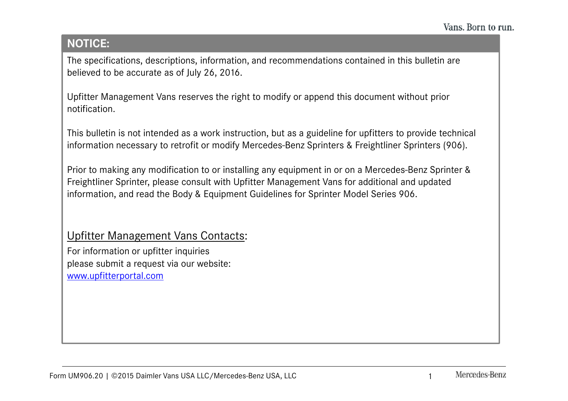## **NOTICE:**

The specifications, descriptions, information, and recommendations contained in this bulletin are believed to be accurate as of July 26, 2016.

Upfitter Management Vans reserves the right to modify or append this document without prior notification.

This bulletin is not intended as a work instruction, but as a guideline for upfitters to provide technical information necessary to retrofit or modify Mercedes-Benz Sprinters & Freightliner Sprinters (906).

Prior to making any modification to or installing any equipment in or on a Mercedes-Benz Sprinter & Freightliner Sprinter, please consult with Upfitter Management Vans for additional and updated information, and read the Body & Equipment Guidelines for Sprinter Model Series 906.

## Upfitter Management Vans Contacts:

For information or upfitter inquiries please submit a request via our website:www.upfitterportal.com